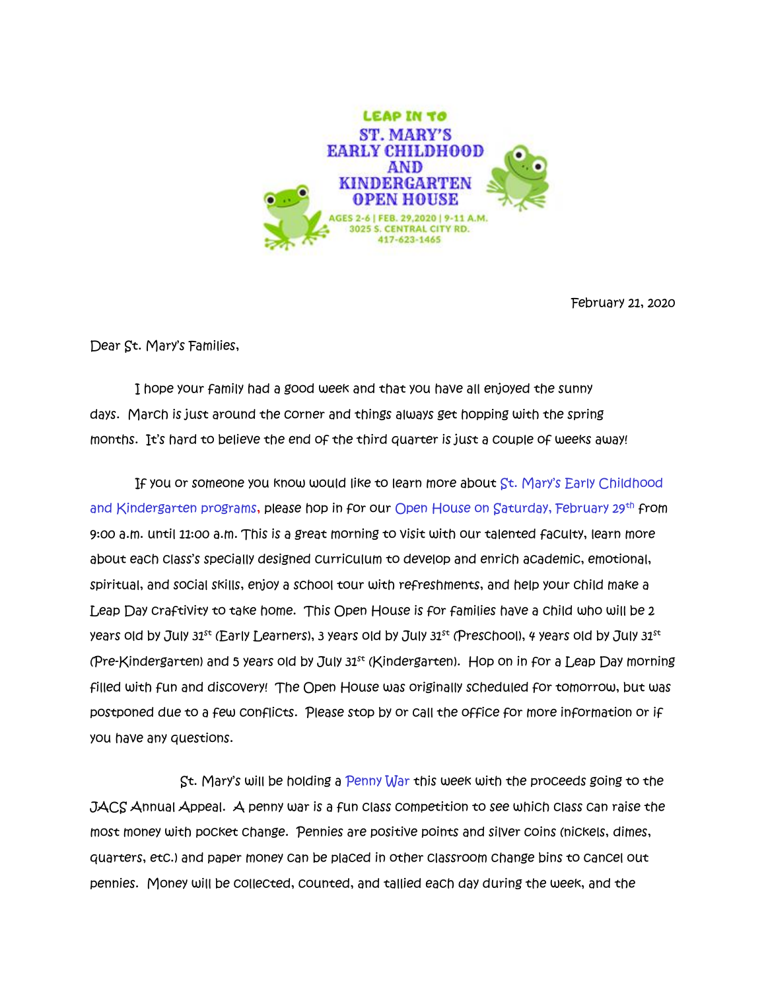

February 21, 2020

Dear St. Mary's Families,

 I hope your family had a good week and that you have all enjoyed the sunny days. March is just around the corner and things always get hopping with the spring months. It's hard to believe the end of the third quarter is just a couple of weeks away!

If you or someone you know would like to learn more about St. Mary's Early Childhood and Kindergarten programs, please hop in for our Open House on Saturday, February 29th from 9:00 a.m. until 11:00 a.m. This is a great morning to visit with our talented faculty, learn more about each class's specially designed curriculum to develop and enrich academic, emotional, spiritual, and social skills, enjoy a school tour with refreshments, and help your child make a Leap Day craftivity to take home. This Open House is for families have a child who will be 2 years old by July  $31<sup>st</sup>$  (Early Learners), 3 years old by July  $31<sup>st</sup>$  (Preschool), 4 years old by July  $31<sup>st</sup>$ (Pre-Kindergarten) and 5 years old by July 31st (Kindergarten). Hop on in for a Leap Day morning filled with fun and discovery! The Open House was originally scheduled for tomorrow, but was postponed due to a few conflicts. Please stop by or call the office for more information or if you have any questions.

 St. Mary's will be holding a Penny War this week with the proceeds going to the JACS Annual Appeal. A penny war is a fun class competition to see which class can raise the most money with pocket change. Pennies are positive points and silver coins (nickels, dimes, quarters, etc.) and paper money can be placed in other classroom change bins to cancel out pennies. Money will be collected, counted, and tallied each day during the week, and the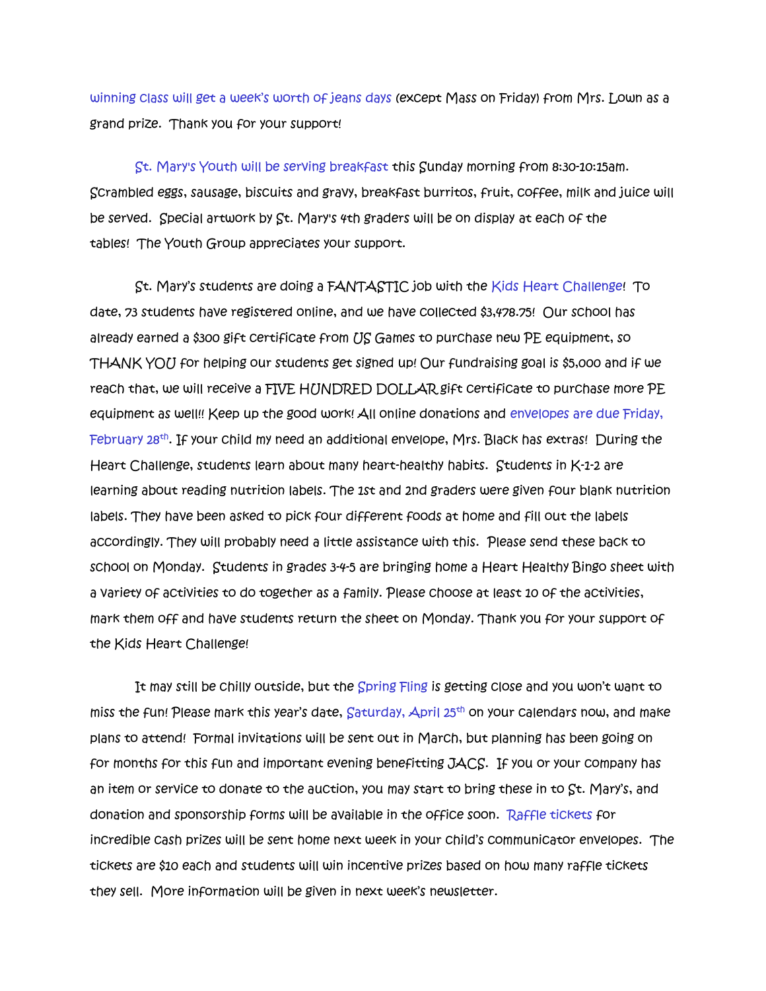winning class will get a week's worth of jeans days (except Mass on Friday) from Mrs. Lown as a grand prize. Thank you for your support!

St. Mary's Youth will be serving breakfast this Sunday morning from 8:30-10:15am. Scrambled eggs, sausage, biscuits and gravy, breakfast burritos, fruit, coffee, milk and juice will be served. Special artwork by St. Mary's 4th graders will be on display at each of the tables! The Youth Group appreciates your support.

St. Mary's students are doing a FANTASTIC job with the Kids Heart Challenge! To date, 73 students have registered online, and we have collected \$3,478.75! Our school has already earned a \$300 gift certificate from US Games to purchase new PE equipment, so THANK YOU for helping our students get signed up! Our fundraising goal is \$5,000 and if we reach that, we will receive a FIVE HUNDRED DOLLAR gift certificate to purchase more PE equipment as well!! Keep up the good work! All online donations and envelopes are due Friday, February 28<sup>th</sup>. If your child my need an additional envelope, Mrs. Black has extras! During the Heart Challenge, students learn about many heart-healthy habits. Students in K-1-2 are learning about reading nutrition labels. The 1st and 2nd graders were given four blank nutrition labels. They have been asked to pick four different foods at home and fill out the labels accordingly. They will probably need a little assistance with this. Please send these back to school on Monday. Students in grades 3-4-5 are bringing home a Heart Healthy Bingo sheet with a variety of activities to do together as a family. Please choose at least 10 of the activities, mark them off and have students return the sheet on Monday. Thank you for your support of the Kids Heart Challenge!

It may still be chilly outside, but the Spring Fling is getting close and you won't want to miss the fun! Please mark this year's date, Saturday, April 25th on your calendars now, and make plans to attend! Formal invitations will be sent out in March, but planning has been going on for months for this fun and important evening benefitting JACS. If you or your company has an item or service to donate to the auction, you may start to bring these in to St. Mary's, and donation and sponsorship forms will be available in the office soon. Raffle tickets for incredible cash prizes will be sent home next week in your child's communicator envelopes. The tickets are \$10 each and students will win incentive prizes based on how many raffle tickets they sell. More information will be given in next week's newsletter.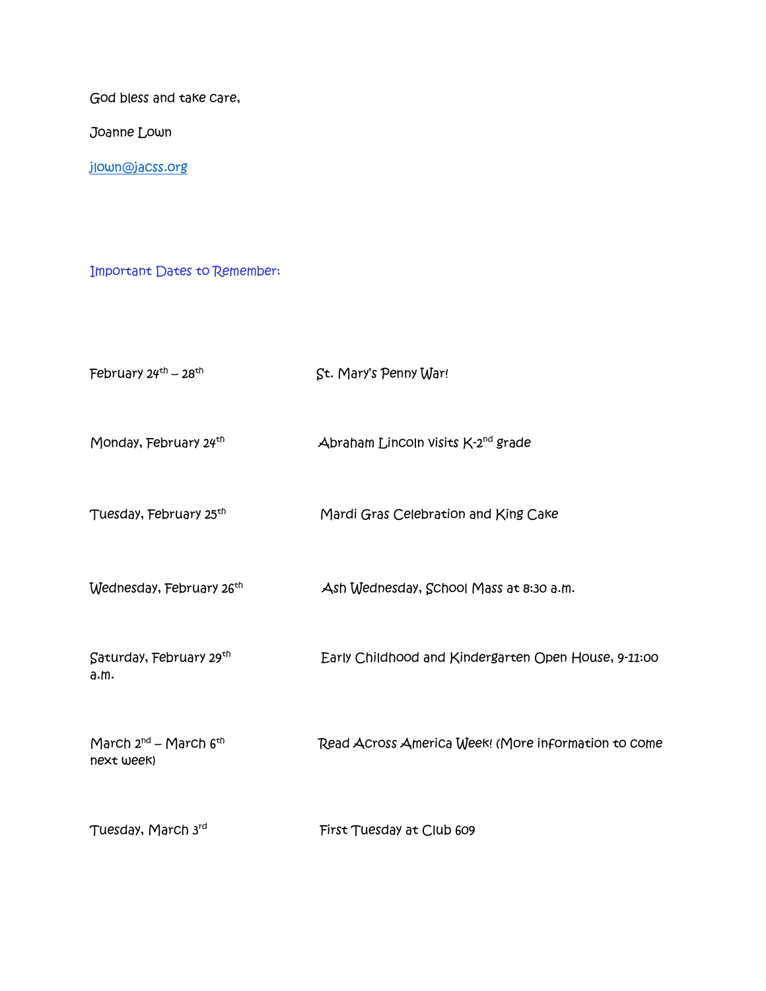God bless and take care,

Joanne Lown

[jlown@jacss.org](mailto:jlown@jacss.org)

Important Dates to Remember:

| February $24th - 28th$                        | St. Mary's Penny War!                                |
|-----------------------------------------------|------------------------------------------------------|
| Monday, February 24 <sup>th</sup>             | Abraham Lincoln visits K-2 <sup>nd</sup> grade       |
| Tuesday, February 25th                        | Mardi Gras Celebration and King Cake                 |
| Wednesday, February 26 <sup>th</sup>          | Ash Wednesday, School Mass at 8:30 a.m.              |
| Saturday, February 29th<br>a.m.               | Early Childhood and Kindergarten Open House, 9-11:00 |
| March $2^{nd}$ – March $6^{th}$<br>next week) | Read Across America Week! (More information to come  |
| Tuesday, March 3rd                            | First Tuesday at Club 609                            |